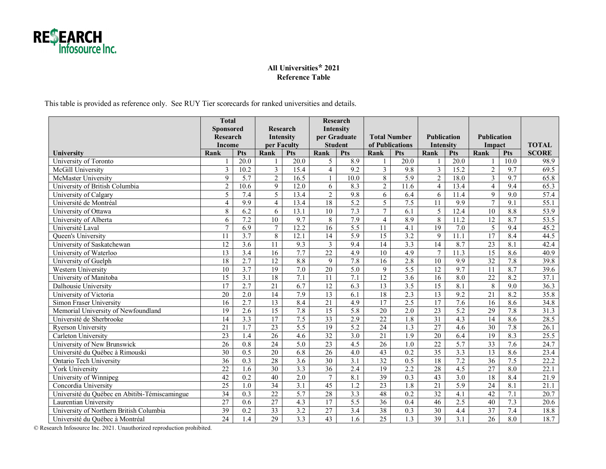

## **All Universities\* 2021 Reference Table**

This table is provided as reference only. See RUY Tier scorecards for ranked universities and details.

|                                               | <b>Total</b>    |                   |                 |                   | <b>Research</b> |                  |                     |                   |                    |                   |                    |                  |              |
|-----------------------------------------------|-----------------|-------------------|-----------------|-------------------|-----------------|------------------|---------------------|-------------------|--------------------|-------------------|--------------------|------------------|--------------|
|                                               | Sponsored       |                   | Research        |                   | Intensity       |                  |                     |                   |                    |                   |                    |                  |              |
|                                               | Research        |                   | Intensity       |                   | per Graduate    |                  | <b>Total Number</b> |                   | <b>Publication</b> |                   | <b>Publication</b> |                  |              |
|                                               | Income          |                   | per Faculty     |                   | <b>Student</b>  |                  | of Publications     |                   | Intensity          |                   | Impact             |                  | <b>TOTAL</b> |
| University                                    | Rank            | <b>Pts</b>        | Rank            | Pts               | Rank            | <b>Pts</b>       | Rank                | Pts               | Rank               | <b>Pts</b>        | Rank               | <b>Pts</b>       | <b>SCORE</b> |
| University of Toronto                         |                 | $\overline{20.0}$ |                 | $\overline{20.0}$ | 5               | 8.9              |                     | $\overline{20.0}$ |                    | $\overline{20.0}$ |                    | 10.0             | 98.9         |
| McGill University                             | 3               | 10.2              | 3               | 15.4              | $\overline{4}$  | 9.2              | $\overline{3}$      | 9.8               | $\overline{3}$     | 15.2              | $\overline{c}$     | 9.7              | 69.5         |
| McMaster University                           | $\mathbf Q$     | 5.7               | $\overline{2}$  | 16.5              | $\mathbf{1}$    | 10.0             | $\overline{8}$      | $\overline{5.9}$  | $\overline{2}$     | 18.0              | $\overline{3}$     | 9.7              | 65.8         |
| University of British Columbia                | $\overline{2}$  | 10.6              | 9               | 12.0              | 6               | 8.3              | $\overline{2}$      | 11.6              | $\overline{4}$     | 13.4              | $\overline{4}$     | 9.4              | 65.3         |
| University of Calgary                         | 5               | 7.4               | 5               | 13.4              | $\sqrt{2}$      | 9.8              | 6                   | 6.4               | 6                  | 11.4              | 9                  | $\overline{9.0}$ | 57.4         |
| Université de Montréal                        | $\overline{4}$  | 9.9               | $\overline{4}$  | 13.4              | $\overline{18}$ | 5.2              | 5                   | 7.5               | 11                 | 9.9               | $\overline{7}$     | 9.1              | 55.1         |
| University of Ottawa                          | 8               | 6.2               | 6               | 13.1              | $\overline{10}$ | 7.3              | $7\overline{ }$     | 6.1               | 5                  | 12.4              | 10                 | 8.8              | 53.9         |
| University of Alberta                         | 6               | 7.2               | 10              | 9.7               | 8               | 7.9              | $\overline{4}$      | 8.9               | 8                  | 11.2              | 12                 | 8.7              | 53.5         |
| Université Laval                              | $\overline{7}$  | $\overline{6.9}$  | $\tau$          | 12.2              | 16              | 5.5              | $\overline{11}$     | 4.1               | 19                 | 7.0               | $\overline{5}$     | 9.4              | 45.2         |
| Queen's University                            | 11              | $\overline{3.7}$  | 8               | 12.1              | $\overline{14}$ | 5.9              | 15                  | 3.2               | 9                  | 11.1              | 17                 | 8.4              | 44.5         |
| University of Saskatchewan                    | 12              | 3.6               | 11              | 9.3               | 3               | 9.4              | $\overline{14}$     | 3.3               | 14                 | 8.7               | $\overline{23}$    | $\overline{8.1}$ | 42.4         |
| University of Waterloo                        | 13              | 3.4               | 16              | 7.7               | $\overline{22}$ | 4.9              | 10                  | 4.9               | $\overline{7}$     | 11.3              | $\overline{15}$    | 8.6              | 40.9         |
| University of Guelph                          | 18              | 2.7               | 12              | 8.8               | 9               | 7.8              | 16                  | 2.8               | 10                 | 9.9               | $\overline{32}$    | 7.8              | 39.8         |
| <b>Western University</b>                     | 10              | 3.7               | 19              | 7.0               | 20              | 5.0              | 9                   | 5.5               | 12                 | 9.7               | 11                 | 8.7              | 39.6         |
| University of Manitoba                        | 15              | $\overline{3.1}$  | $\overline{18}$ | 7.1               | 11              | 7.1              | $\overline{12}$     | $\overline{3.6}$  | 16                 | 8.0               | $\overline{22}$    | 8.2              | 37.1         |
| Dalhousie University                          | 17              | 2.7               | $\overline{21}$ | 6.7               | 12              | 6.3              | $\overline{13}$     | $\overline{3.5}$  | $\overline{15}$    | 8.1               | 8                  | $\overline{9.0}$ | 36.3         |
| University of Victoria                        | 20              | 2.0               | 14              | 7.9               | $\overline{13}$ | 6.1              | $\overline{18}$     | 2.3               | 13                 | 9.2               | 21                 | 8.2              | 35.8         |
| Simon Fraser University                       | 16              | 2.7               | 13              | 8.4               | $\overline{21}$ | 4.9              | 17                  | 2.5               | 17                 | 7.6               | 16                 | 8.6              | 34.8         |
| Memorial University of Newfoundland           | 19              | 2.6               | $\overline{15}$ | 7.8               | 15              | 5.8              | 20                  | 2.0               | 23                 | 5.2               | 29                 | 7.8              | 31.3         |
| Université de Sherbrooke                      | 14              | 3.3               | $\overline{17}$ | 7.5               | 33              | 2.9              | $\overline{22}$     | $\overline{1.8}$  | 31                 | 4.3               | $\overline{14}$    | 8.6              | 28.5         |
| <b>Ryerson University</b>                     | 21              | 1.7               | $\overline{23}$ | $\overline{5.5}$  | $\overline{19}$ | 5.2              | 24                  | 1.3               | 27                 | 4.6               | 30                 | 7.8              | 26.1         |
| Carleton University                           | 23              | 1.4               | 26              | 4.6               | 32              | 3.0              | 21                  | 1.9               | 20                 | 6.4               | 19                 | 8.3              | 25.5         |
| University of New Brunswick                   | $\overline{26}$ | 0.8               | $\overline{24}$ | $\overline{5.0}$  | 23              | 4.5              | 26                  | 1.0               | 22                 | 5.7               | 33                 | 7.6              | 24.7         |
| Université du Québec à Rimouski               | $\overline{30}$ | 0.5               | $\overline{20}$ | 6.8               | $\overline{26}$ | 4.0              | $\overline{43}$     | 0.2               | $\overline{35}$    | 3.3               | $\overline{13}$    | 8.6              | 23.4         |
| <b>Ontario Tech University</b>                | $\overline{36}$ | $\overline{0.3}$  | $\overline{28}$ | $\overline{3.6}$  | $\overline{30}$ | $\overline{3.1}$ | 32                  | $\overline{0.5}$  | $\overline{18}$    | 7.2               | 36                 | 7.5              | 22.2         |
| York University                               | 22              | 1.6               | $\overline{30}$ | 3.3               | 36              | 2.4              | 19                  | 2.2               | 28                 | 4.5               | 27                 | 8.0              | 22.1         |
| University of Winnipeg                        | 42              | 0.2               | 40              | 2.0               | $\overline{7}$  | 8.1              | $\overline{39}$     | 0.3               | 43                 | 3.0               | 18                 | 8.4              | 21.9         |
| Concordia University                          | $\overline{25}$ | 1.0               | $\overline{34}$ | $\overline{3.1}$  | $\overline{45}$ | 1.2              | $\overline{23}$     | 1.8               | $\overline{21}$    | $\overline{5.9}$  | $\overline{24}$    | 8.1              | 21.1         |
| Université du Québec en Abitibi-Témiscamingue | $\overline{34}$ | 0.3               | $\overline{22}$ | 5.7               | $\overline{28}$ | 3.3              | 48                  | 0.2               | $\overline{32}$    | 4.1               | 42                 | 7.1              | 20.7         |
| Laurentian University                         | 27              | 0.6               | $\overline{27}$ | 4.3               | 17              | 5.5              | 36                  | 0.4               | 46                 | 2.5               | 40                 | 7.3              | 20.6         |
| University of Northern British Columbia       | $\overline{39}$ | 0.2               | $\overline{33}$ | $\overline{3.2}$  | $\overline{27}$ | 3.4              | $\overline{38}$     | 0.3               | $\overline{30}$    | 4.4               | $\overline{37}$    | 7.4              | 18.8         |
| Université du Québec à Montréal               | $\overline{24}$ | 1.4               | $\overline{29}$ | $\overline{3.3}$  | $\overline{43}$ | 1.6              | $\overline{25}$     | 1.3               | $\overline{39}$    | $\overline{3.1}$  | $\overline{26}$    | 8.0              | 18.7         |

© Research Infosource Inc. 2021. Unauthorized reproduction prohibited.